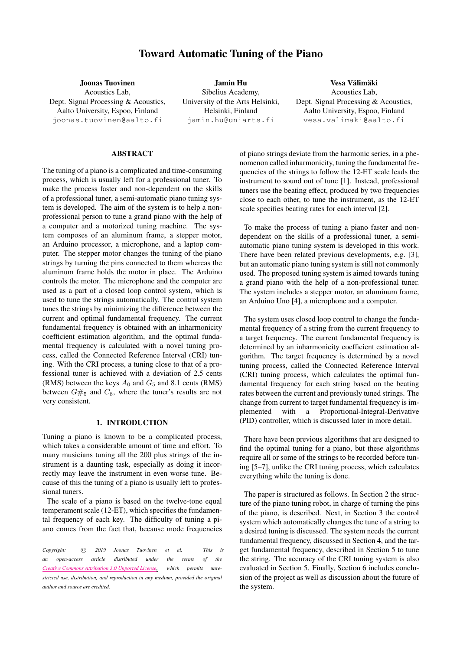# Toward Automatic Tuning of the Piano

Joonas Tuovinen Acoustics Lab, Dept. Signal Processing & Acoustics, Aalto University, Espoo, Finland [joonas.tuovinen@aalto.fi](mailto:author1@smcnetwork.org)

Jamin Hu Sibelius Academy, University of the Arts Helsinki, Helsinki, Finland [jamin.hu@uniarts.fi](mailto:jamin.hu@uniarts.fi)

Vesa Välimäki Acoustics Lab, Dept. Signal Processing & Acoustics, Aalto University, Espoo, Finland [vesa.valimaki@aalto.fi](mailto:author3@smcnetwork.org)

## ABSTRACT

The tuning of a piano is a complicated and time-consuming process, which is usually left for a professional tuner. To make the process faster and non-dependent on the skills of a professional tuner, a semi-automatic piano tuning system is developed. The aim of the system is to help a nonprofessional person to tune a grand piano with the help of a computer and a motorized tuning machine. The system composes of an aluminum frame, a stepper motor, an Arduino processor, a microphone, and a laptop computer. The stepper motor changes the tuning of the piano strings by turning the pins connected to them whereas the aluminum frame holds the motor in place. The Arduino controls the motor. The microphone and the computer are used as a part of a closed loop control system, which is used to tune the strings automatically. The control system tunes the strings by minimizing the difference between the current and optimal fundamental frequency. The current fundamental frequency is obtained with an inharmonicity coefficient estimation algorithm, and the optimal fundamental frequency is calculated with a novel tuning process, called the Connected Reference Interval (CRI) tuning. With the CRI process, a tuning close to that of a professional tuner is achieved with a deviation of 2.5 cents (RMS) between the keys  $A_0$  and  $G_5$  and 8.1 cents (RMS) between  $G#_5$  and  $C_8$ , where the tuner's results are not very consistent.

# 1. INTRODUCTION

Tuning a piano is known to be a complicated process, which takes a considerable amount of time and effort. To many musicians tuning all the 200 plus strings of the instrument is a daunting task, especially as doing it incorrectly may leave the instrument in even worse tune. Because of this the tuning of a piano is usually left to professional tuners.

The scale of a piano is based on the twelve-tone equal temperament scale (12-ET), which specifies the fundamental frequency of each key. The difficulty of tuning a piano comes from the fact that, because mode frequencies

*Copyright:*  $\circled{c}$  *2019 Joonas Tuovinen et al. This is an open-access article distributed under the terms of the Creative Commons [Attribution](http://creativecommons.org/licenses/by/3.0/) 3.0 Unported License, which permits unrestricted use, distribution, and reproduction in any medium, provided the original author and source are credited.*

of piano strings deviate from the harmonic series, in a phenomenon called inharmonicity, tuning the fundamental frequencies of the strings to follow the 12-ET scale leads the instrument to sound out of tune [\[1\]](#page-7-0). Instead, professional tuners use the beating effect, produced by two frequencies close to each other, to tune the instrument, as the 12-ET scale specifies beating rates for each interval [\[2\]](#page-7-1).

To make the process of tuning a piano faster and nondependent on the skills of a professional tuner, a semiautomatic piano tuning system is developed in this work. There have been related previous developments, e.g. [\[3\]](#page-7-2), but an automatic piano tuning system is still not commonly used. The proposed tuning system is aimed towards tuning a grand piano with the help of a non-professional tuner. The system includes a stepper motor, an aluminum frame, an Arduino Uno [\[4\]](#page-7-3), a microphone and a computer.

The system uses closed loop control to change the fundamental frequency of a string from the current frequency to a target frequency. The current fundamental frequency is determined by an inharmonicity coefficient estimation algorithm. The target frequency is determined by a novel tuning process, called the Connected Reference Interval (CRI) tuning process, which calculates the optimal fundamental frequency for each string based on the beating rates between the current and previously tuned strings. The change from current to target fundamental frequency is implemented with a Proportional-Integral-Derivative (PID) controller, which is discussed later in more detail.

There have been previous algorithms that are designed to find the optimal tuning for a piano, but these algorithms require all or some of the strings to be recorded before tuning [\[5–](#page-7-4)[7\]](#page-7-5), unlike the CRI tuning process, which calculates everything while the tuning is done.

The paper is structured as follows. In Section [2](#page-1-0) the structure of the piano tuning robot, in charge of turning the pins of the piano, is described. Next, in Section [3](#page-1-1) the control system which automatically changes the tune of a string to a desired tuning is discussed. The system needs the current fundamental frequency, discussed in Section [4,](#page-1-2) and the target fundamental frequency, described in Section [5](#page-3-0) to tune the string. The accuracy of the CRI tuning system is also evaluated in Section [5.](#page-3-0) Finally, Section [6](#page-6-0) includes conclusion of the project as well as discussion about the future of the system.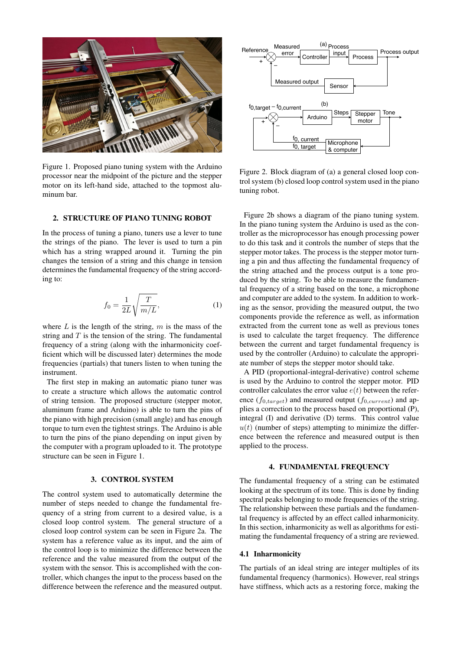<span id="page-1-3"></span>

Figure 1. Proposed piano tuning system with the Arduino processor near the midpoint of the picture and the stepper motor on its left-hand side, attached to the topmost aluminum bar.

## <span id="page-1-0"></span>2. STRUCTURE OF PIANO TUNING ROBOT

In the process of tuning a piano, tuners use a lever to tune the strings of the piano. The lever is used to turn a pin which has a string wrapped around it. Turning the pin changes the tension of a string and this change in tension determines the fundamental frequency of the string according to:

$$
f_0 = \frac{1}{2L} \sqrt{\frac{T}{m/L}},\tag{1}
$$

where  $L$  is the length of the string,  $m$  is the mass of the string and  $T$  is the tension of the string. The fundamental frequency of a string (along with the inharmonicity coefficient which will be discussed later) determines the mode frequencies (partials) that tuners listen to when tuning the instrument.

The first step in making an automatic piano tuner was to create a structure which allows the automatic control of string tension. The proposed structure (stepper motor, aluminum frame and Arduino) is able to turn the pins of the piano with high precision (small angle) and has enough torque to turn even the tightest strings. The Arduino is able to turn the pins of the piano depending on input given by the computer with a program uploaded to it. The prototype structure can be seen in Figure [1.](#page-1-3)

## 3. CONTROL SYSTEM

<span id="page-1-1"></span>The control system used to automatically determine the number of steps needed to change the fundamental frequency of a string from current to a desired value, is a closed loop control system. The general structure of a closed loop control system can be seen in Figure [2a](#page-1-4). The system has a reference value as its input, and the aim of the control loop is to minimize the difference between the reference and the value measured from the output of the system with the sensor. This is accomplished with the controller, which changes the input to the process based on the difference between the reference and the measured output.

<span id="page-1-4"></span>

Figure 2. Block diagram of (a) a general closed loop control system (b) closed loop control system used in the piano tuning robot.

Figure [2b](#page-1-4) shows a diagram of the piano tuning system. In the piano tuning system the Arduino is used as the controller as the microprocessor has enough processing power to do this task and it controls the number of steps that the stepper motor takes. The process is the stepper motor turning a pin and thus affecting the fundamental frequency of the string attached and the process output is a tone produced by the string. To be able to measure the fundamental frequency of a string based on the tone, a microphone and computer are added to the system. In addition to working as the sensor, providing the measured output, the two components provide the reference as well, as information extracted from the current tone as well as previous tones is used to calculate the target frequency. The difference between the current and target fundamental frequency is used by the controller (Arduino) to calculate the appropriate number of steps the stepper motor should take.

A PID (proportional-integral-derivative) control scheme is used by the Arduino to control the stepper motor. PID controller calculates the error value  $e(t)$  between the reference  $(f_{0,target})$  and measured output  $(f_{0,current})$  and applies a correction to the process based on proportional (P), integral (I) and derivative (D) terms. This control value  $u(t)$  (number of steps) attempting to minimize the difference between the reference and measured output is then applied to the process.

#### 4. FUNDAMENTAL FREQUENCY

<span id="page-1-2"></span>The fundamental frequency of a string can be estimated looking at the spectrum of its tone. This is done by finding spectral peaks belonging to mode frequencies of the string. The relationship between these partials and the fundamental frequency is affected by an effect called inharmonicity. In this section, inharmonicity as well as algorithms for estimating the fundamental frequency of a string are reviewed.

#### 4.1 Inharmonicity

The partials of an ideal string are integer multiples of its fundamental frequency (harmonics). However, real strings have stiffness, which acts as a restoring force, making the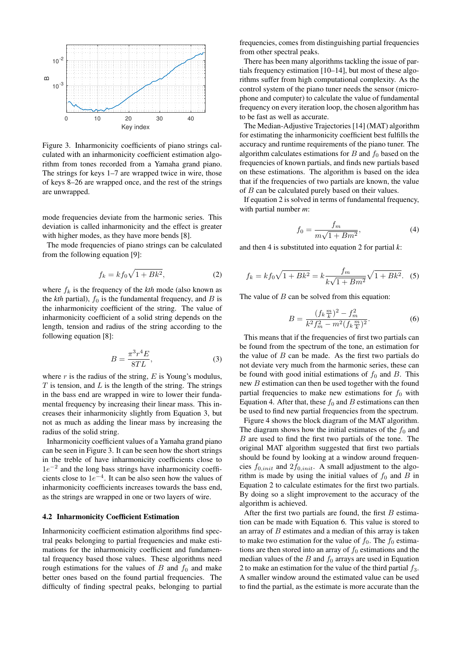<span id="page-2-1"></span>

Figure 3. Inharmonicity coefficients of piano strings calculated with an inharmonicity coefficient estimation algorithm from tones recorded from a Yamaha grand piano. The strings for keys 1–7 are wrapped twice in wire, those of keys 8–26 are wrapped once, and the rest of the strings are unwrapped.

mode frequencies deviate from the harmonic series. This deviation is called inharmonicity and the effect is greater with higher modes, as they have more bends [\[8\]](#page-7-6).

The mode frequencies of piano strings can be calculated from the following equation [\[9\]](#page-7-7):

<span id="page-2-2"></span>
$$
f_k = kf_0\sqrt{1 + Bk^2},\tag{2}
$$

where  $f_k$  is the frequency of the  $kth$  mode (also known as the  $kth$  partial),  $f_0$  is the fundamental frequency, and  $B$  is the inharmonicity coefficient of the string. The value of inharmonicity coefficient of a solid string depends on the length, tension and radius of the string according to the following equation [\[8\]](#page-7-6):

<span id="page-2-0"></span>
$$
B = \frac{\pi^3 r^4 E}{8TL},\tag{3}
$$

where  $r$  is the radius of the string,  $E$  is Young's modulus,  $T$  is tension, and  $L$  is the length of the string. The strings in the bass end are wrapped in wire to lower their fundamental frequency by increasing their linear mass. This increases their inharmonicity slightly from Equation [3,](#page-2-0) but not as much as adding the linear mass by increasing the radius of the solid string.

Inharmonicity coefficient values of a Yamaha grand piano can be seen in Figure [3.](#page-2-1) It can be seen how the short strings in the treble of have inharmonicity coefficients close to 1e<sup>-2</sup> and the long bass strings have inharmonicity coefficients close to  $1e^{-4}$ . It can be also seen how the values of inharmonicity coefficients increases towards the bass end, as the strings are wrapped in one or two layers of wire.

#### 4.2 Inharmonicity Coefficient Estimation

Inharmonicity coefficient estimation algorithms find spectral peaks belonging to partial frequencies and make estimations for the inharmonicity coefficient and fundamental frequency based those values. These algorithms need rough estimations for the values of  $B$  and  $f_0$  and make better ones based on the found partial frequencies. The difficulty of finding spectral peaks, belonging to partial frequencies, comes from distinguishing partial frequencies from other spectral peaks.

There has been many algorithms tackling the issue of partials frequency estimation [\[10](#page-7-8)[–14\]](#page-7-9), but most of these algorithms suffer from high computational complexity. As the control system of the piano tuner needs the sensor (microphone and computer) to calculate the value of fundamental frequency on every iteration loop, the chosen algorithm has to be fast as well as accurate.

The Median-Adjustive Trajectories [\[14\]](#page-7-9) (MAT) algorithm for estimating the inharmonicity coefficient best fulfills the accuracy and runtime requirements of the piano tuner. The algorithm calculates estimations for  $B$  and  $f_0$  based on the frequencies of known partials, and finds new partials based on these estimations. The algorithm is based on the idea that if the frequencies of two partials are known, the value of B can be calculated purely based on their values.

If equation [2](#page-2-2) is solved in terms of fundamental frequency, with partial number *m*:

<span id="page-2-3"></span>
$$
f_0 = \frac{f_m}{m\sqrt{1 + Bm^2}},\tag{4}
$$

and then [4](#page-2-3) is substituted into equation [2](#page-2-2) for partial *k*:

$$
f_k = kf_0\sqrt{1 + Bk^2} = k\frac{f_m}{k\sqrt{1 + Bm^2}}\sqrt{1 + Bk^2}.
$$
 (5)

The value of  $B$  can be solved from this equation:

<span id="page-2-4"></span>
$$
B = \frac{(f_k \frac{m}{k})^2 - f_m^2}{k^2 f_m^2 - m^2 (f_k \frac{m}{k})^2}.
$$
 (6)

This means that if the frequencies of first two partials can be found from the spectrum of the tone, an estimation for the value of  $B$  can be made. As the first two partials do not deviate very much from the harmonic series, these can be found with good initial estimations of  $f_0$  and B. This new B estimation can then be used together with the found partial frequencies to make new estimations for  $f_0$  with Equation [4.](#page-2-3) After that, these  $f_0$  and B estimations can then be used to find new partial frequencies from the spectrum.

Figure [4](#page-3-1) shows the block diagram of the MAT algorithm. The diagram shows how the initial estimates of the  $f_0$  and B are used to find the first two partials of the tone. The original MAT algorithm suggested that first two partials should be found by looking at a window around frequencies  $f_{0,init}$  and  $2f_{0,init}$ . A small adjustment to the algorithm is made by using the initial values of  $f_0$  and B in Equation [2](#page-2-2) to calculate estimates for the first two partials. By doing so a slight improvement to the accuracy of the algorithm is achieved.

After the first two partials are found, the first  $B$  estimation can be made with Equation [6.](#page-2-4) This value is stored to an array of  $B$  estimates and a median of this array is taken to make two estimation for the value of  $f_0$ . The  $f_0$  estimations are then stored into an array of  $f_0$  estimations and the median values of the  $B$  and  $f_0$  arrays are used in Equation [2](#page-2-2) to make an estimation for the value of the third partial  $f_3$ . A smaller window around the estimated value can be used to find the partial, as the estimate is more accurate than the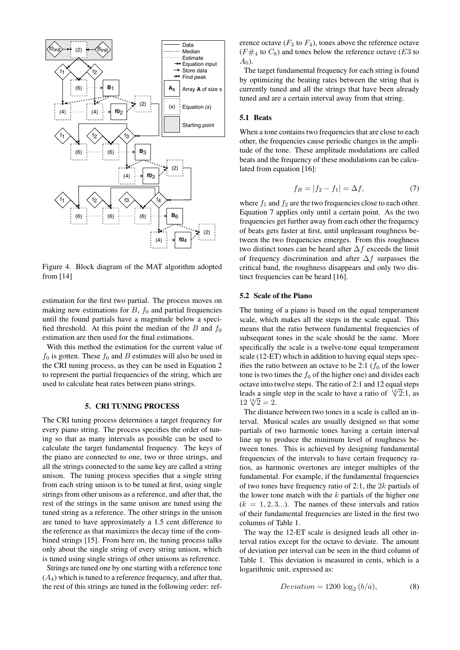<span id="page-3-1"></span>

Figure 4. Block diagram of the MAT algorithm adopted from [\[14\]](#page-7-9)

estimation for the first two partial. The process moves on making new estimations for  $B$ ,  $f_0$  and partial frequencies until the found partials have a magnitude below a specified threshold. At this point the median of the B and  $f_0$ estimation are then used for the final estimations.

With this method the estimation for the current value of  $f_0$  is gotten. These  $f_0$  and B estimates will also be used in the CRI tuning process, as they can be used in Equation [2](#page-2-2) to represent the partial frequencies of the string, which are used to calculate beat rates between piano strings.

## 5. CRI TUNING PROCESS

<span id="page-3-0"></span>The CRI tuning process determines a target frequency for every piano string. The process specifies the order of tuning so that as many intervals as possible can be used to calculate the target fundamental frequency. The keys of the piano are connected to one, two or three strings, and all the strings connected to the same key are called a string unison. The tuning process specifies that a single string from each string unison is to be tuned at first, using single strings from other unisons as a reference, and after that, the rest of the strings in the same unison are tuned using the tuned string as a reference. The other strings in the unison are tuned to have approximately a 1.5 cent difference to the reference as that maximizes the decay time of the combined strings [\[15\]](#page-7-10). From here on, the tuning process talks only about the single string of every string unison, which is tuned using single strings of other unisons as reference.

Strings are tuned one by one starting with a reference tone  $(A<sub>4</sub>)$  which is tuned to a reference frequency, and after that, the rest of this strings are tuned in the following order: reference octave  $(F_3 \text{ to } F_4)$ , tones above the reference octave  $(F#_4$  to  $C_8$ ) and tones below the reference octave (E3 to  $A_0$ ).

The target fundamental frequency for each string is found by optimizing the beating rates between the string that is currently tuned and all the strings that have been already tuned and are a certain interval away from that string.

## 5.1 Beats

When a tone contains two frequencies that are close to each other, the frequencies cause periodic changes in the amplitude of the tone. These amplitude modulations are called beats and the frequency of these modulations can be calculated from equation [\[16\]](#page-7-11):

<span id="page-3-2"></span>
$$
f_B = |f_2 - f_1| = \Delta f, \tag{7}
$$

where  $f_1$  and  $f_2$  are the two frequencies close to each other. Equation [7](#page-3-2) applies only until a certain point. As the two frequencies get further away from each other the frequency of beats gets faster at first, until unpleasant roughness between the two frequencies emerges. From this roughness two distinct tones can be heard after  $\Delta f$  exceeds the limit of frequency discrimination and after  $\Delta f$  surpasses the critical band, the roughness disappears and only two distinct frequencies can be heard [\[16\]](#page-7-11).

#### 5.2 Scale of the Piano

The tuning of a piano is based on the equal temperament scale, which makes all the steps in the scale equal. This means that the ratio between fundamental frequencies of subsequent tones in the scale should be the same. More specifically the scale is a twelve-tone equal temperament scale (12-ET) which in addition to having equal steps specifies the ratio between an octave to be 2:1 ( $f_0$  of the lower tone is two times the  $f_0$  of the higher one) and divides each octave into twelve steps. The ratio of 2:1 and 12 equal steps leads a single step in the scale to have a ratio of  $\sqrt[12]{2}$ :1, as reads a sing.<br> $12\sqrt[12]{2} = 2$ .

The distance between two tones in a scale is called an interval. Musical scales are usually designed so that some partials of two harmonic tones having a certain interval line up to produce the minimum level of roughness between tones. This is achieved by designing fundamental frequencies of the intervals to have certain frequency ratios, as harmonic overtones are integer multiples of the fundamental. For example, if the fundamental frequencies of two tones have frequency ratio of 2:1, the  $2k$  partials of the lower tone match with the  $k$  partials of the higher one  $(k = 1, 2, 3...)$ . The names of these intervals and ratios of their fundamental frequencies are listed in the first two columns of Table [1.](#page-4-0)

The way the 12-ET scale is designed leads all other interval ratios except for the octave to deviate. The amount of deviation per interval can be seen in the third column of Table [1.](#page-4-0) This deviation is measured in cents, which is a logarithmic unit, expressed as:

$$
Deviation = 1200 \log_2 (b/a), \tag{8}
$$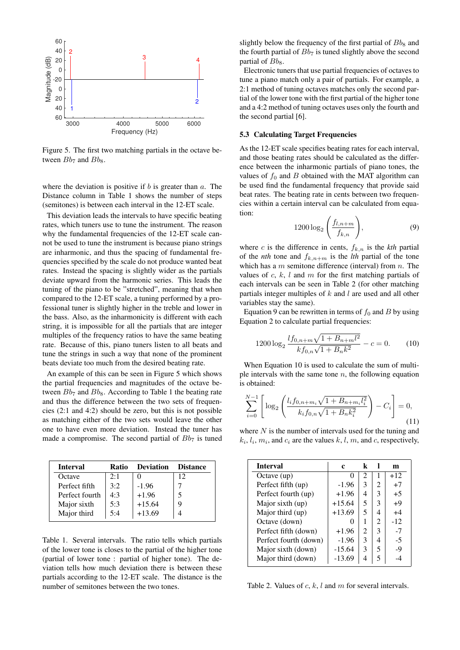<span id="page-4-1"></span>

Figure 5. The first two matching partials in the octave between  $Bb_7$  and  $Bb_8$ .

where the deviation is positive if  $b$  is greater than  $a$ . The Distance column in Table [1](#page-4-0) shows the number of steps (semitones) is between each interval in the 12-ET scale.

This deviation leads the intervals to have specific beating rates, which tuners use to tune the instrument. The reason why the fundamental frequencies of the 12-ET scale cannot be used to tune the instrument is because piano strings are inharmonic, and thus the spacing of fundamental frequencies specified by the scale do not produce wanted beat rates. Instead the spacing is slightly wider as the partials deviate upward from the harmonic series. This leads the tuning of the piano to be "stretched", meaning that when compared to the 12-ET scale, a tuning performed by a professional tuner is slightly higher in the treble and lower in the bass. Also, as the inharmonicity is different with each string, it is impossible for all the partials that are integer multiples of the frequency ratios to have the same beating rate. Because of this, piano tuners listen to all beats and tune the strings in such a way that none of the prominent beats deviate too much from the desired beating rate.

An example of this can be seen in Figure [5](#page-4-1) which shows the partial frequencies and magnitudes of the octave between  $Bb_7$  and  $Bb_8$ . According to Table [1](#page-4-0) the beating rate and thus the difference between the two sets of frequencies (2:1 and 4:2) should be zero, but this is not possible as matching either of the two sets would leave the other one to have even more deviation. Instead the tuner has made a compromise. The second partial of  $Bb<sub>7</sub>$  is tuned

<span id="page-4-0"></span>

| <b>Interval</b> | Ratio | <b>Deviation</b> | <b>Distance</b> |
|-----------------|-------|------------------|-----------------|
| Octave          | 2:1   |                  | 12              |
| Perfect fifth   | 3:2   | $-1.96$          |                 |
| Perfect fourth  | 4:3   | $+1.96$          |                 |
| Major sixth     | 5:3   | $+15.64$         |                 |
| Major third     | 5:4   | $+13.69$         |                 |

Table 1. Several intervals. The ratio tells which partials of the lower tone is closes to the partial of the higher tone (partial of lower tone : partial of higher tone). The deviation tells how much deviation there is between these partials according to the 12-ET scale. The distance is the number of semitones between the two tones.

slightly below the frequency of the first partial of  $Bb_8$  and the fourth partial of  $Bb<sub>7</sub>$  is tuned slightly above the second partial of  $Bb_8$ .

Electronic tuners that use partial frequencies of octaves to tune a piano match only a pair of partials. For example, a 2:1 method of tuning octaves matches only the second partial of the lower tone with the first partial of the higher tone and a 4:2 method of tuning octaves uses only the fourth and the second partial [\[6\]](#page-7-12).

## 5.3 Calculating Target Frequencies

As the 12-ET scale specifies beating rates for each interval, and those beating rates should be calculated as the difference between the inharmonic partials of piano tones, the values of  $f_0$  and  $B$  obtained with the MAT algorithm can be used find the fundamental frequency that provide said beat rates. The beating rate in cents between two frequencies within a certain interval can be calculated from equation:

<span id="page-4-3"></span>
$$
1200 \log_2\left(\frac{f_{l,n+m}}{f_{k,n}}\right),\tag{9}
$$

where c is the difference in cents,  $f_{k,n}$  is the  $kth$  partial of the *nth* tone and  $f_{k,n+m}$  is the *lth* partial of the tone which has a  $m$  semitone difference (interval) from  $n$ . The values of  $c, k, l$  and  $m$  for the first matching partials of each intervals can be seen in Table [2](#page-4-2) (for other matching partials integer multiples of  $k$  and  $l$  are used and all other variables stay the same).

Equation [9](#page-4-3) can be rewritten in terms of  $f_0$  and B by using Equation [2](#page-2-2) to calculate partial frequencies:

<span id="page-4-4"></span>
$$
1200 \log_2 \frac{l f_{0,n+m} \sqrt{1 + B_{n+m} l^2}}{k f_{0,n} \sqrt{1 + B_n k^2}} - c = 0.
$$
 (10)

When Equation [10](#page-4-4) is used to calculate the sum of multiple intervals with the same tone  $n$ , the following equation is obtained:

<span id="page-4-5"></span>
$$
\sum_{i=0}^{N-1} \left[ \log_2 \left( \frac{l_i f_{0,n+m_i} \sqrt{1 + B_{n+m_i} l_i^2}}{k_i f_{0,n} \sqrt{1 + B_n k_i^2}} \right) - C_i \right] = 0,
$$
\n(11)

where  $N$  is the number of intervals used for the tuning and  $k_i, l_i, m_i$ , and  $c_i$  are the values k, l, m, and c, respectively,

<span id="page-4-2"></span>

| <b>Interval</b>       | c        | k              |                | m     |
|-----------------------|----------|----------------|----------------|-------|
| Octave (up)           | 0        | $\overline{c}$ |                | $+12$ |
| Perfect fifth (up)    | $-1.96$  | 3              | 2              | $+7$  |
| Perfect fourth (up)   | $+1.96$  | 4              | 3              | $+5$  |
| Major sixth (up)      | $+15.64$ | 5              | 3              | $+9$  |
| Major third (up)      | $+13.69$ | 5              | 4              | $+4$  |
| Octave (down)         | 0        | 1              | $\mathfrak{D}$ | $-12$ |
| Perfect fifth (down)  | $+1.96$  | 2              | 3              | $-7$  |
| Perfect fourth (down) | $-1.96$  | 3              | 4              | $-5$  |
| Major sixth (down)    | $-15.64$ | 3              | 5              | -9    |
| Major third (down)    | $-13.69$ | 4              | 5              |       |

Table 2. Values of  $c, k, l$  and  $m$  for several intervals.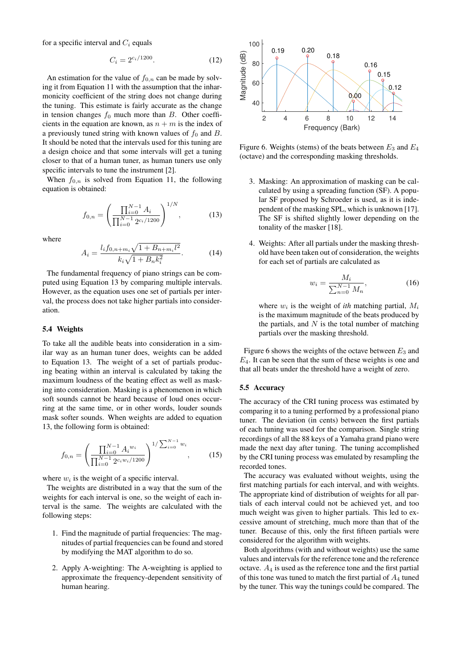for a specific interval and  $C_i$  equals

$$
C_i = 2^{c_i/1200}.\t(12)
$$

An estimation for the value of  $f_{0,n}$  can be made by solving it from Equation [11](#page-4-5) with the assumption that the inharmonicity coefficient of the string does not change during the tuning. This estimate is fairly accurate as the change in tension changes  $f_0$  much more than B. Other coefficients in the equation are known, as  $n + m$  is the index of a previously tuned string with known values of  $f_0$  and  $B$ . It should be noted that the intervals used for this tuning are a design choice and that some intervals will get a tuning closer to that of a human tuner, as human tuners use only specific intervals to tune the instrument [\[2\]](#page-7-1).

When  $f_{0,n}$  is solved from Equation [11,](#page-4-5) the following equation is obtained:

<span id="page-5-0"></span>
$$
f_{0,n} = \left(\frac{\prod_{i=0}^{N-1} A_i}{\prod_{i=0}^{N-1} 2^{c_i/1200}}\right)^{1/N},\tag{13}
$$

where

$$
A_i = \frac{l_i f_{0,n+m_i} \sqrt{1 + B_{n+m_i} l^2}}{k_i \sqrt{1 + B_n k_i^2}}.
$$
 (14)

The fundamental frequency of piano strings can be computed using Equation [13](#page-5-0) by comparing multiple intervals. However, as the equation uses one set of partials per interval, the process does not take higher partials into consideration.

#### 5.4 Weights

To take all the audible beats into consideration in a similar way as an human tuner does, weights can be added to Equation [13.](#page-5-0) The weight of a set of partials producing beating within an interval is calculated by taking the maximum loudness of the beating effect as well as masking into consideration. Masking is a phenomenon in which soft sounds cannot be heard because of loud ones occurring at the same time, or in other words, louder sounds mask softer sounds. When weights are added to equation [13,](#page-5-0) the following form is obtained:

$$
f_{0,n} = \left(\frac{\prod_{i=0}^{N-1} A_i^{w_i}}{\prod_{i=0}^{N-1} 2^{c_i w_i / 1200}}\right)^{1/\sum_{i=0}^{N-1} w_i},\tag{15}
$$

where  $w_i$  is the weight of a specific interval.

The weights are distributed in a way that the sum of the weights for each interval is one, so the weight of each interval is the same. The weights are calculated with the following steps:

- 1. Find the magnitude of partial frequencies: The magnitudes of partial frequencies can be found and stored by modifying the MAT algorithm to do so.
- 2. Apply A-weighting: The A-weighting is applied to approximate the frequency-dependent sensitivity of human hearing.

<span id="page-5-1"></span>

Figure 6. Weights (stems) of the beats between  $E_3$  and  $E_4$ (octave) and the corresponding masking thresholds.

- 3. Masking: An approximation of masking can be calculated by using a spreading function (SF). A popular SF proposed by Schroeder is used, as it is independent of the masking SPL, which is unknown [\[17\]](#page-7-13). The SF is shifted slightly lower depending on the tonality of the masker [\[18\]](#page-7-14).
- 4. Weights: After all partials under the masking threshold have been taken out of consideration, the weights for each set of partials are calculated as

$$
w_i = \frac{M_i}{\sum_{n=0}^{N-1} M_n},
$$
\n(16)

where  $w_i$  is the weight of *ith* matching partial,  $M_i$ is the maximum magnitude of the beats produced by the partials, and  $N$  is the total number of matching partials over the masking threshold.

Figure [6](#page-5-1) shows the weights of the octave between  $E_3$  and  $E_4$ . It can be seen that the sum of these weights is one and that all beats under the threshold have a weight of zero.

## 5.5 Accuracy

The accuracy of the CRI tuning process was estimated by comparing it to a tuning performed by a professional piano tuner. The deviation (in cents) between the first partials of each tuning was used for the comparison. Single string recordings of all the 88 keys of a Yamaha grand piano were made the next day after tuning. The tuning accomplished by the CRI tuning process was emulated by resampling the recorded tones.

The accuracy was evaluated without weights, using the first matching partials for each interval, and with weights. The appropriate kind of distribution of weights for all partials of each interval could not be achieved yet, and too much weight was given to higher partials. This led to excessive amount of stretching, much more than that of the tuner. Because of this, only the first fifteen partials were considered for the algorithm with weights.

Both algorithms (with and without weights) use the same values and intervals for the reference tone and the reference octave.  $A_4$  is used as the reference tone and the first partial of this tone was tuned to match the first partial of  $A_4$  tuned by the tuner. This way the tunings could be compared. The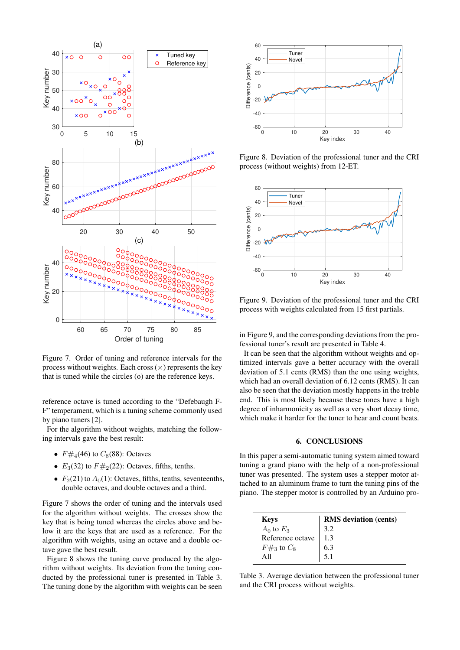<span id="page-6-1"></span>

Figure 7. Order of tuning and reference intervals for the process without weights. Each cross  $(\times)$  represents the key that is tuned while the circles (o) are the reference keys.

reference octave is tuned according to the "Defebaugh F-F" temperament, which is a tuning scheme commonly used by piano tuners [\[2\]](#page-7-1).

For the algorithm without weights, matching the following intervals gave the best result:

- $F \#_4(46)$  to  $C_8(88)$ : Octaves
- $E_3(32)$  to  $F\#_2(22)$ : Octaves, fifths, tenths.
- $F<sub>2</sub>(21)$  to  $A<sub>0</sub>(1)$ : Octaves, fifths, tenths, seventeenths, double octaves, and double octaves and a third.

Figure [7](#page-6-1) shows the order of tuning and the intervals used for the algorithm without weights. The crosses show the key that is being tuned whereas the circles above and below it are the keys that are used as a reference. For the algorithm with weights, using an octave and a double octave gave the best result.

Figure [8](#page-6-2) shows the tuning curve produced by the algorithm without weights. Its deviation from the tuning conducted by the professional tuner is presented in Table [3.](#page-6-3) The tuning done by the algorithm with weights can be seen

<span id="page-6-2"></span>

Figure 8. Deviation of the professional tuner and the CRI process (without weights) from 12-ET.

<span id="page-6-4"></span>

Figure 9. Deviation of the professional tuner and the CRI process with weights calculated from 15 first partials.

in Figure [9,](#page-6-4) and the corresponding deviations from the professional tuner's result are presented in Table [4.](#page-7-15)

It can be seen that the algorithm without weights and optimized intervals gave a better accuracy with the overall deviation of 5.1 cents (RMS) than the one using weights, which had an overall deviation of 6.12 cents (RMS). It can also be seen that the deviation mostly happens in the treble end. This is most likely because these tones have a high degree of inharmonicity as well as a very short decay time, which make it harder for the tuner to hear and count beats.

#### 6. CONCLUSIONS

<span id="page-6-0"></span>In this paper a semi-automatic tuning system aimed toward tuning a grand piano with the help of a non-professional tuner was presented. The system uses a stepper motor attached to an aluminum frame to turn the tuning pins of the piano. The stepper motor is controlled by an Arduino pro-

<span id="page-6-3"></span>

| <b>Keys</b>      | <b>RMS</b> deviation (cents) |
|------------------|------------------------------|
| $A_0$ to $E_3$   | 3.2                          |
| Reference octave | 13                           |
| $F\#_3$ to $C_8$ | 6.3                          |
| A 11             | 5.1                          |

Table 3. Average deviation between the professional tuner and the CRI process without weights.